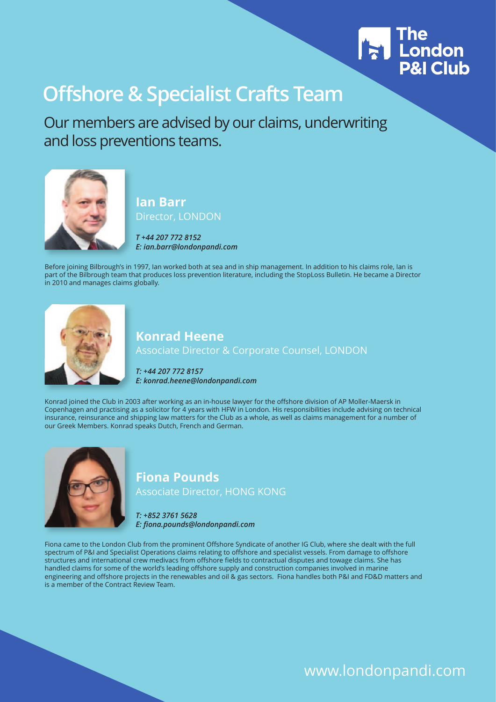

Our members are advised by our claims, underwriting and loss preventions teams.



#### **Ian Barr** Director, LONDON

*T +44 207 772 8152 E: ian.barr@londonpandi.com* 

Before joining Bilbrough's in 1997, Ian worked both at sea and in ship management. In addition to his claims role, Ian is part of the Bilbrough team that produces loss prevention literature, including the StopLoss Bulletin. He became a Director in 2010 and manages claims globally.



#### **Konrad Heene**

Associate Director & Corporate Counsel, LONDON

*T: +44 207 772 8157 E: konrad.heene@londonpandi.com* 

Konrad joined the Club in 2003 after working as an in-house lawyer for the offshore division of AP Moller-Maersk in Copenhagen and practising as a solicitor for 4 years with HFW in London. His responsibilities include advising on technical insurance, reinsurance and shipping law matters for the Club as a whole, as well as claims management for a number of our Greek Members. Konrad speaks Dutch, French and German.



#### **Fiona Pounds** Associate Director, HONG KONG

*T: +852 3761 5628 E: fiona.pounds@londonpandi.com* 

Fiona came to the London Club from the prominent Offshore Syndicate of another IG Club, where she dealt with the full spectrum of P&I and Specialist Operations claims relating to offshore and specialist vessels. From damage to offshore structures and international crew medivacs from offshore fields to contractual disputes and towage claims. She has handled claims for some of the world's leading offshore supply and construction companies involved in marine engineering and offshore projects in the renewables and oil & gas sectors. Fiona handles both P&I and FD&D matters and is a member of the Contract Review Team.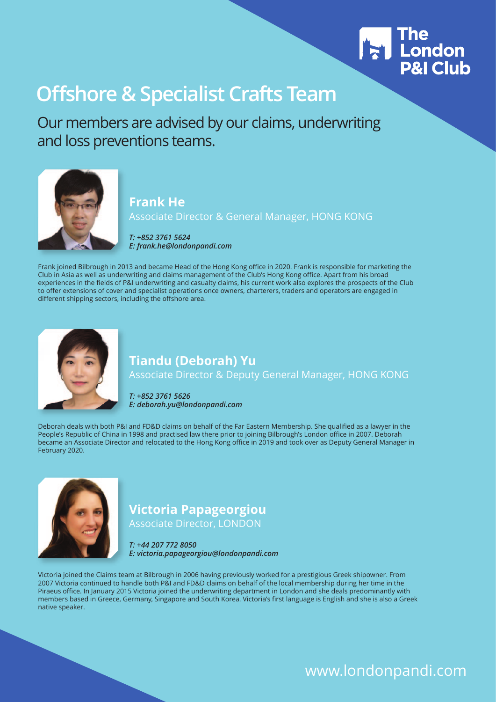

Our members are advised by our claims, underwriting and loss preventions teams.



#### **Frank He**

Associate Director & General Manager, HONG KONG

*T: +852 3761 5624 E: frank.he@londonpandi.com* 

Frank joined Bilbrough in 2013 and became Head of the Hong Kong office in 2020. Frank is responsible for marketing the Club in Asia as well as underwriting and claims management of the Club's Hong Kong office. Apart from his broad experiences in the fields of P&I underwriting and casualty claims, his current work also explores the prospects of the Club to offer extensions of cover and specialist operations once owners, charterers, traders and operators are engaged in different shipping sectors, including the offshore area.



### **Tiandu (Deborah) Yu**

Associate Director & Deputy General Manager, HONG KONG

*T: +852 3761 5626 E: deborah.yu@londonpandi.com* 

Deborah deals with both P&I and FD&D claims on behalf of the Far Eastern Membership. She qualified as a lawyer in the People's Republic of China in 1998 and practised law there prior to joining Bilbrough's London office in 2007. Deborah became an Associate Director and relocated to the Hong Kong office in 2019 and took over as Deputy General Manager in February 2020.



### **Victoria Papageorgiou**

Associate Director, LONDON

*T: +44 207 772 8050 E: victoria.papageorgiou@londonpandi.com*

Victoria joined the Claims team at Bilbrough in 2006 having previously worked for a prestigious Greek shipowner. From 2007 Victoria continued to handle both P&I and FD&D claims on behalf of the local membership during her time in the Piraeus office. In January 2015 Victoria joined the underwriting department in London and she deals predominantly with members based in Greece, Germany, Singapore and South Korea. Victoria's first language is English and she is also a Greek native speaker.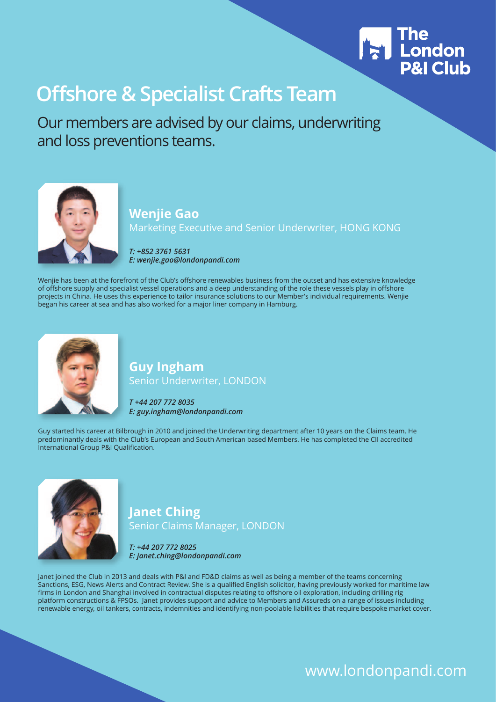

Our members are advised by our claims, underwriting and loss preventions teams.



#### **Wenjie Gao**  Marketing Executive and Senior Underwriter, HONG KONG

*T: +852 3761 5631 E: wenjie.gao@londonpandi.com* 

Wenjie has been at the forefront of the Club's offshore renewables business from the outset and has extensive knowledge of offshore supply and specialist vessel operations and a deep understanding of the role these vessels play in offshore projects in China. He uses this experience to tailor insurance solutions to our Member's individual requirements. Wenjie began his career at sea and has also worked for a major liner company in Hamburg.



#### **Guy Ingham** Senior Underwriter, LONDON

*T +44 207 772 8035 E: guy.ingham@londonpandi.com* 

Guy started his career at Bilbrough in 2010 and joined the Underwriting department after 10 years on the Claims team. He predominantly deals with the Club's European and South American based Members. He has completed the CII accredited International Group P&I Qualification.



#### **Janet Ching** Senior Claims Manager, LONDON

*T: +44 207 772 8025 E: janet.ching@londonpandi.com* 

Janet joined the Club in 2013 and deals with P&I and FD&D claims as well as being a member of the teams concerning Sanctions, ESG, News Alerts and Contract Review. She is a qualified English solicitor, having previously worked for maritime law firms in London and Shanghai involved in contractual disputes relating to offshore oil exploration, including drilling rig platform constructions & FPSOs. Janet provides support and advice to Members and Assureds on a range of issues including renewable energy, oil tankers, contracts, indemnities and identifying non-poolable liabilities that require bespoke market cover.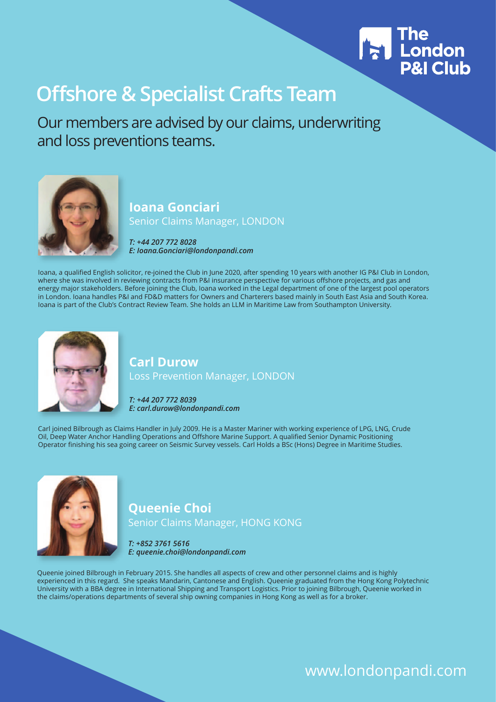

Our members are advised by our claims, underwriting and loss preventions teams.



#### **Ioana Gonciari** Senior Claims Manager, LONDON

*T: +44 207 772 8028 E: Ioana.Gonciari@londonpandi.com* 

Ioana, a qualified English solicitor, re-joined the Club in June 2020, after spending 10 years with another IG P&I Club in London, where she was involved in reviewing contracts from P&I insurance perspective for various offshore projects, and gas and energy major stakeholders. Before joining the Club, Ioana worked in the Legal department of one of the largest pool operators in London. Ioana handles P&I and FD&D matters for Owners and Charterers based mainly in South East Asia and South Korea. Ioana is part of the Club's Contract Review Team. She holds an LLM in Maritime Law from Southampton University.



#### **Carl Durow** Loss Prevention Manager, LONDON

*T: +44 207 772 8039 E: carl.durow@londonpandi.com* 

Carl joined Bilbrough as Claims Handler in July 2009. He is a Master Mariner with working experience of LPG, LNG, Crude Oil, Deep Water Anchor Handling Operations and Offshore Marine Support. A qualified Senior Dynamic Positioning Operator finishing his sea going career on Seismic Survey vessels. Carl Holds a BSc (Hons) Degree in Maritime Studies.



#### **Queenie Choi** Senior Claims Manager, HONG KONG

*T: +852 3761 5616 E: queenie.choi@londonpandi.com* 

Queenie joined Bilbrough in February 2015. She handles all aspects of crew and other personnel claims and is highly experienced in this regard. She speaks Mandarin, Cantonese and English. Queenie graduated from the Hong Kong Polytechnic University with a BBA degree in International Shipping and Transport Logistics. Prior to joining Bilbrough, Queenie worked in the claims/operations departments of several ship owning companies in Hong Kong as well as for a broker.